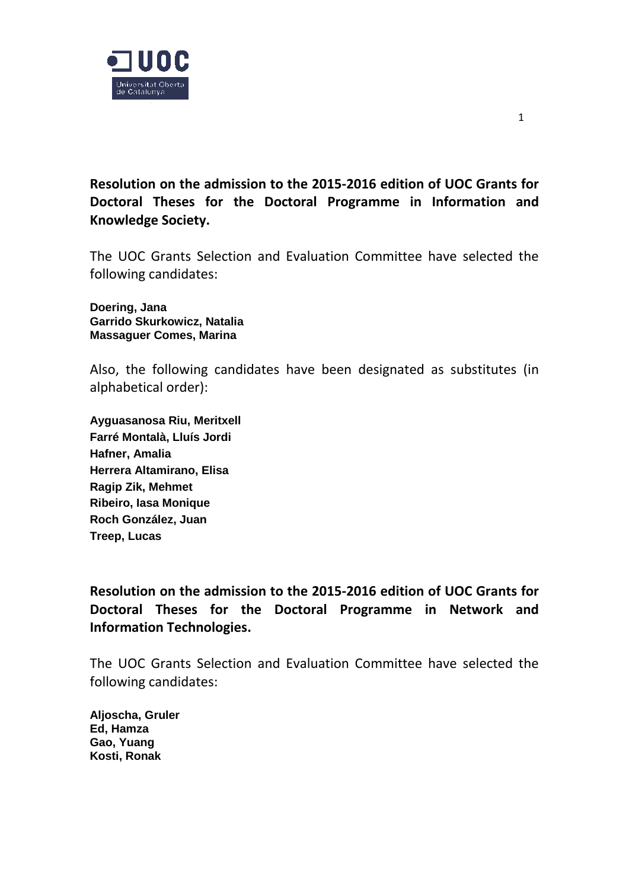

**Resolution on the admission to the 2015-2016 edition of UOC Grants for Doctoral Theses for the Doctoral Programme in Information and Knowledge Society.**

The UOC Grants Selection and Evaluation Committee have selected the following candidates:

**Doering, Jana Garrido Skurkowicz, Natalia Massaguer Comes, Marina**

Also, the following candidates have been designated as substitutes (in alphabetical order):

**Ayguasanosa Riu, Meritxell Farré Montalà, Lluís Jordi Hafner, Amalia Herrera Altamirano, Elisa Ragip Zik, Mehmet Ribeiro, Iasa Monique Roch González, Juan Treep, Lucas**

**Resolution on the admission to the 2015-2016 edition of UOC Grants for Doctoral Theses for the Doctoral Programme in Network and Information Technologies.**

The UOC Grants Selection and Evaluation Committee have selected the following candidates:

**Aljoscha, Gruler Ed, Hamza Gao, Yuang Kosti, Ronak**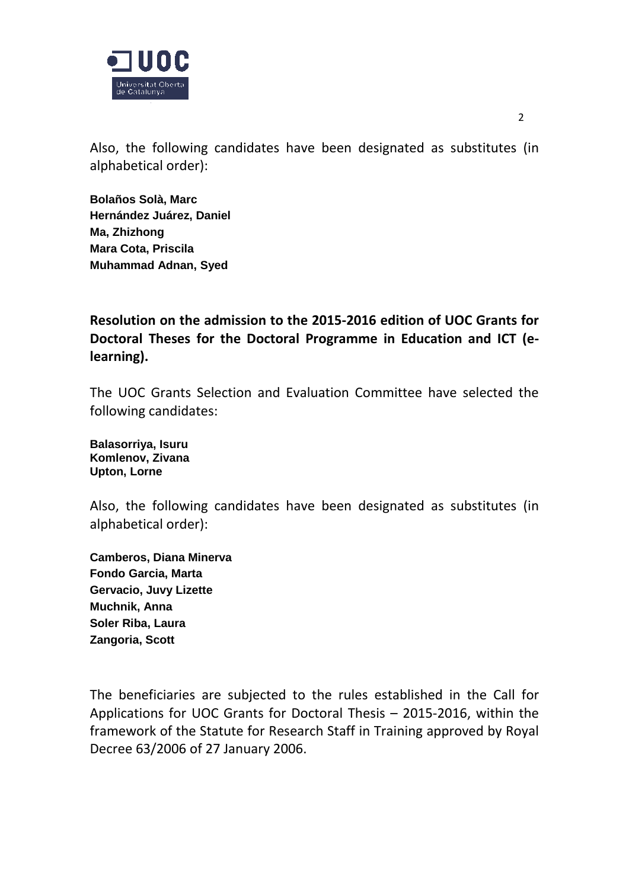

Also, the following candidates have been designated as substitutes (in alphabetical order):

**Bolaños Solà, Marc Hernández Juárez, Daniel Ma, Zhizhong Mara Cota, Priscila Muhammad Adnan, Syed**

**Resolution on the admission to the 2015-2016 edition of UOC Grants for Doctoral Theses for the Doctoral Programme in Education and ICT (elearning).**

The UOC Grants Selection and Evaluation Committee have selected the following candidates:

**Balasorriya, Isuru Komlenov, Zivana Upton, Lorne**

Also, the following candidates have been designated as substitutes (in alphabetical order):

**Camberos, Diana Minerva Fondo Garcia, Marta Gervacio, Juvy Lizette Muchnik, Anna Soler Riba, Laura Zangoria, Scott**

The beneficiaries are subjected to the rules established in the Call for Applications for UOC Grants for Doctoral Thesis – 2015-2016, within the framework of the Statute for Research Staff in Training approved by Royal Decree 63/2006 of 27 January 2006.